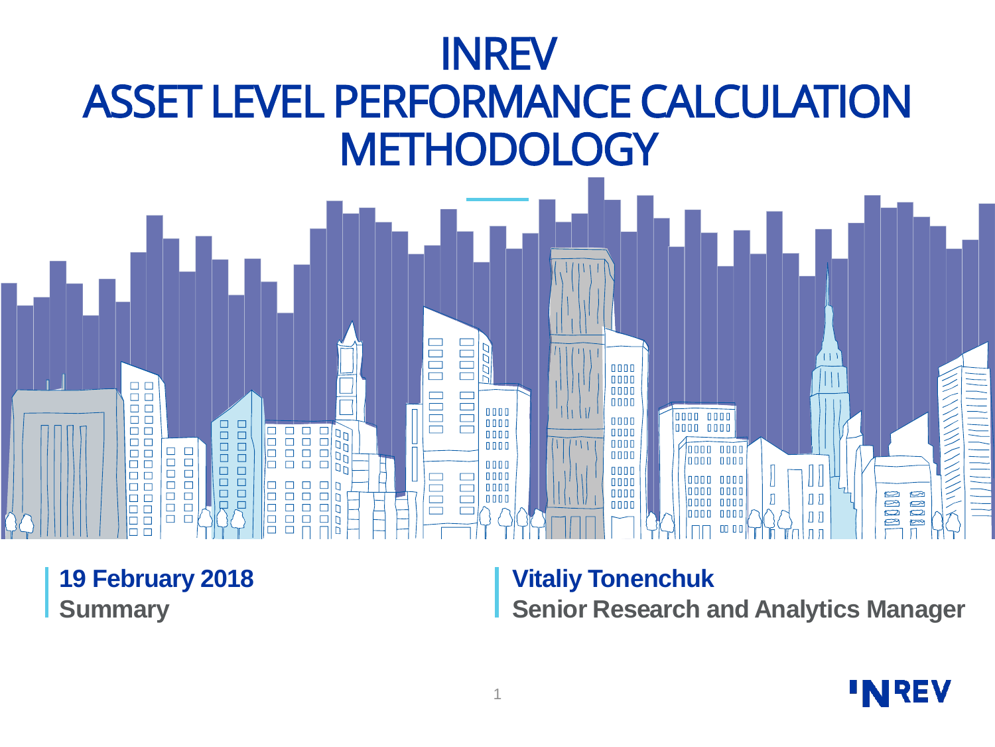

**19 February 2018 Summary**

### **Vitaliy Tonenchuk**

**Senior Research and Analytics Manager**

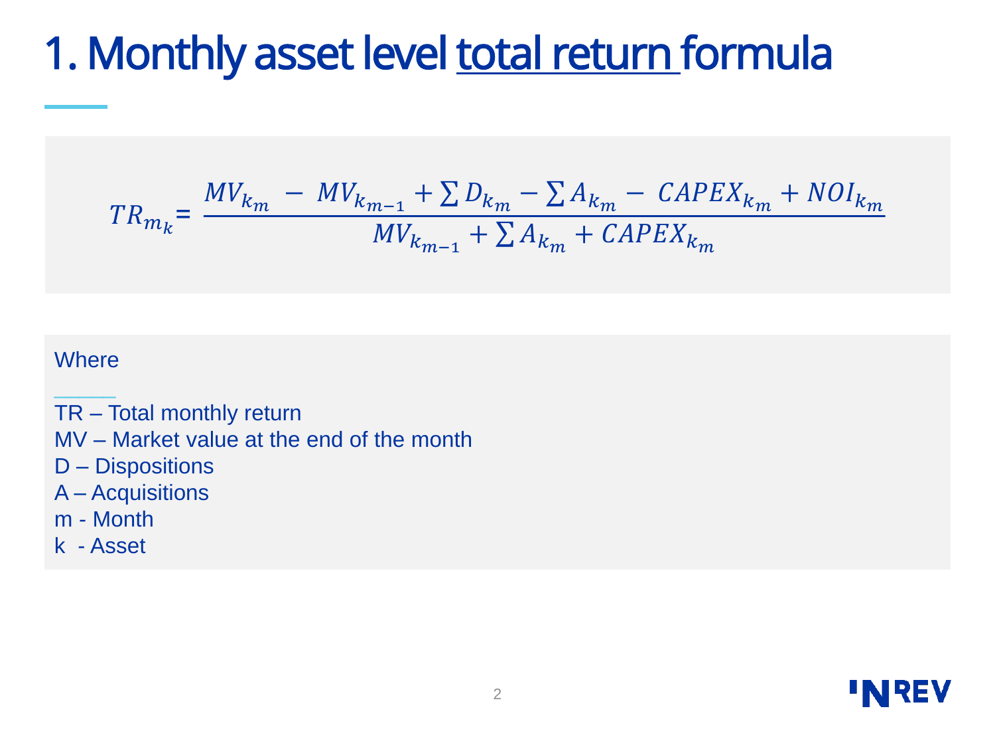### 1. Monthly asset level total return formula

$$
TR_{m_k} = \frac{MV_{k_m} - MV_{k_{m-1}} + \sum D_{k_m} - \sum A_{k_m} - \text{CAPEX}_{k_m} + \text{NOI}_{k_m}}{MV_{k_{m-1}} + \sum A_{k_m} + \text{CAPEX}_{k_m}}
$$

#### **Where** \_\_\_\_\_

TR – Total monthly return MV – Market value at the end of the month D – Dispositions A – Acquisitions m - Month

k - Asset

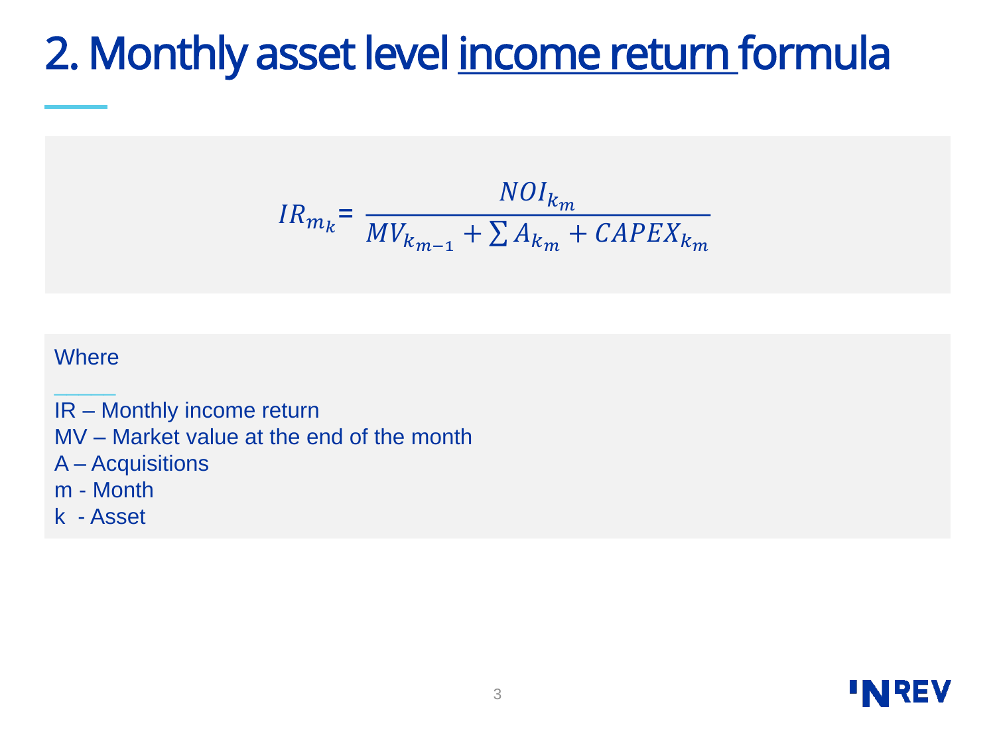### 2. Monthly asset level income return formula

$$
IR_{m_k} = \frac{NOI_{k_m}}{MV_{k_{m-1}} + \sum A_{k_m} + CAPEX_{k_m}}
$$

#### **Where** \_\_\_\_\_

IR – Monthly income return MV – Market value at the end of the month A – Acquisitions m - Month

k - Asset

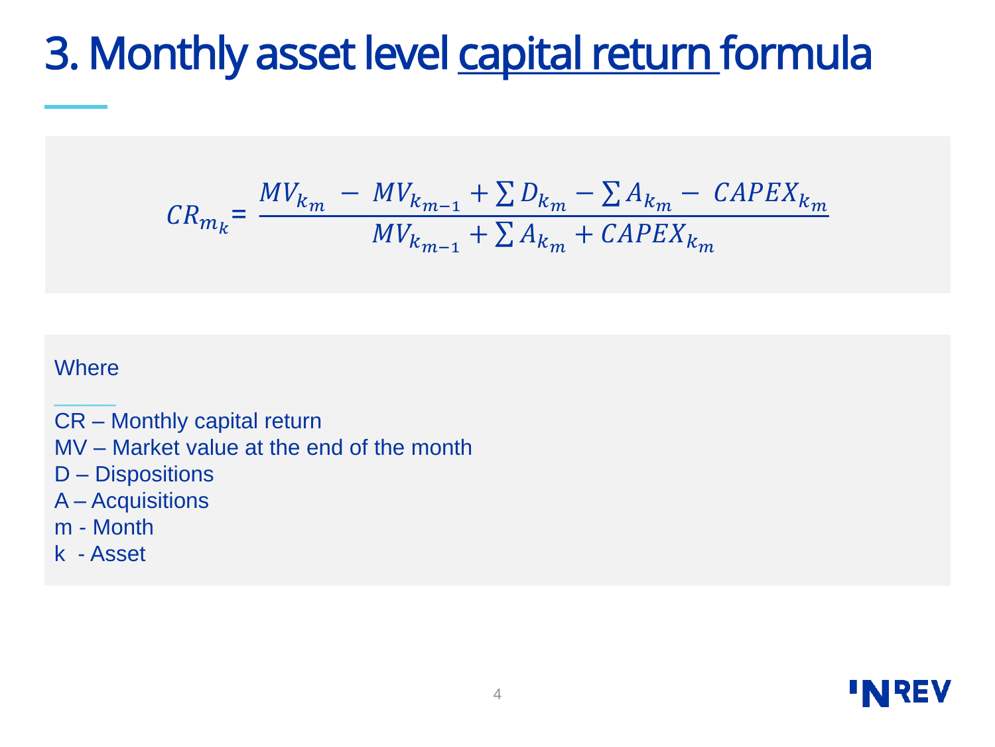### 3. Monthly asset level capital return formula

$$
CR_{m_k} = \frac{MV_{k_m} - MV_{k_{m-1}} + \sum D_{k_m} - \sum A_{k_m} - \text{CAPEX}_{k_m}}{MV_{k_{m-1}} + \sum A_{k_m} + \text{CAPEX}_{k_m}}
$$

#### **Where** \_\_\_\_\_

CR – Monthly capital return MV – Market value at the end of the month D – Dispositions A – Acquisitions m - Month k - Asset

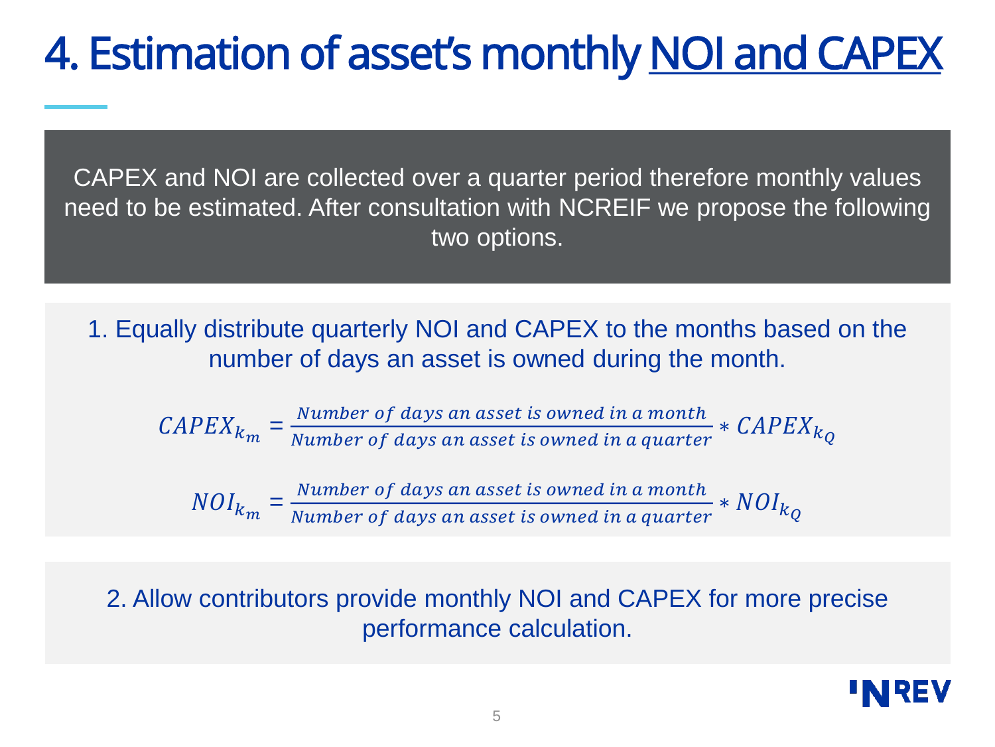# 4. Estimation of asset's monthly NOI and CAPEX

CAPEX and NOI are collected over a quarter period therefore monthly values need to be estimated. After consultation with NCREIF we propose the following two options.

1. Equally distribute quarterly NOI and CAPEX to the months based on the number of days an asset is owned during the month.

 $\mathcal{C}APEX_{k_m} = \frac{Number\ of\ days\ an\ asset\ is\ owned\ in\ a\ month}{Number\ of\ days\ an\ asset\ is\ owned\ in\ a\ quarter}$  $\frac{N$  and  $P$  and  $N$  are  $N$  and  $N$  are  $N$  are  $N$  are  $N$  and  $N$  are  $N$  and  $N$  are  $N$  are  $N$  are  $N$  are  $N$  are  $N$  are  $N$  are  $N$  are  $N$  are  $N$  are  $N$  are  $N$  are  $N$  are  $N$  are  $N$  are  $N$  are  $N$  are  $N$ 

 $NOI_{k_m} = \frac{Number\ of\ days\ an\ asset\ is\ owned\ in\ a\ month}{Number\ of\ days\ an\ asset\ is\ owned\ in\ a\ awater}$  $\frac{N$  and  $\frac{N}{2}$  of days an asset is owned in a quarter  $N$   $O$   $I_{k}$ 

2. Allow contributors provide monthly NOI and CAPEX for more precise performance calculation.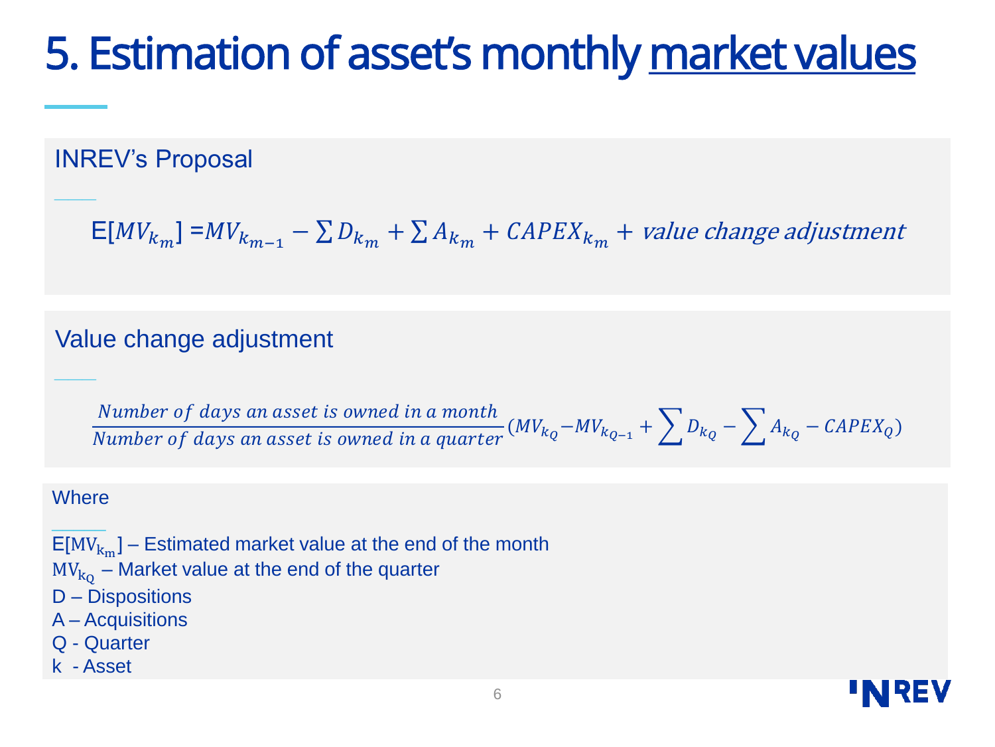## 5. Estimation of asset's monthly market values

INREV's Proposal

 $\mathsf{E}[MV_{k_m}]$  = $MV_{k_{m-1}} - \sum D_{k_m} + \sum A_{k_m} + \textit{CAPEX}_{k_m} + \textit{value change adjustment}$ 

#### Value change adjustment

Number of days an asset is owned in a month Number of days an asset is owned in a quarter  $(MV_{k_Q}-MV_{k_{Q-1}}+\sum D_{k_Q}-\sum A_{k_Q}-CAPEX_Q)$ 

#### **Where**

**\_\_\_**

**\_\_\_**

 $\overline{\phantom{a}}$  $\mathsf{E}[\mathsf{MV}_{\mathsf{k}_\mathbf{m}}]$  – Estimated market value at the end of the month  $\text{MV}_\text{k_Q}$  – Market value at the end of the quarter D – Dispositions A – Acquisitions Q - Quarter

k - Asset

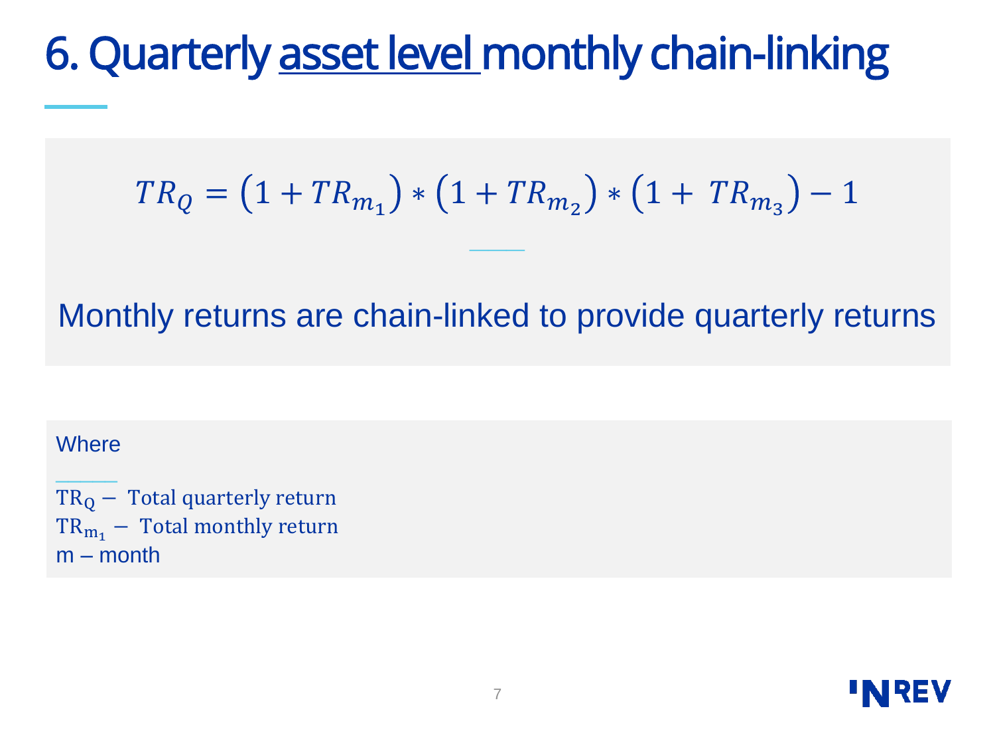### 6. Quarterly asset level monthly chain-linking

$$
TR_Q = (1 + TR_{m_1}) * (1 + TR_{m_2}) * (1 + TR_{m_3}) - 1
$$

**\_\_\_**

Monthly returns are chain-linked to provide quarterly returns

#### **Where** \_\_\_\_\_

 $TR<sub>Q</sub>$  – Total quarterly return  $TR_{m_1}$  – Total monthly return m – month

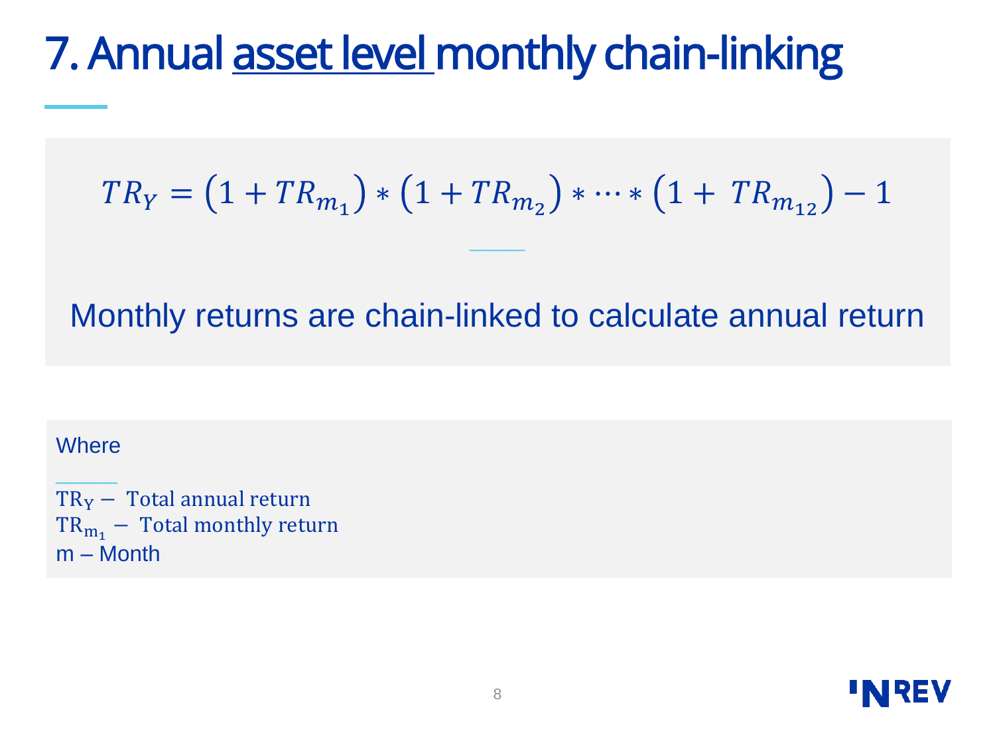### 7. Annual asset level monthly chain-linking

$$
TR_Y = (1 + TR_{m_1}) * (1 + TR_{m_2}) * \dots * (1 + TR_{m_{12}}) - 1
$$

**\_\_\_**

Monthly returns are chain-linked to calculate annual return

#### **Where** \_\_\_\_\_

 $TR_Y - Total$  annual return  $TR_{m_1}$  – Total monthly return m – Month

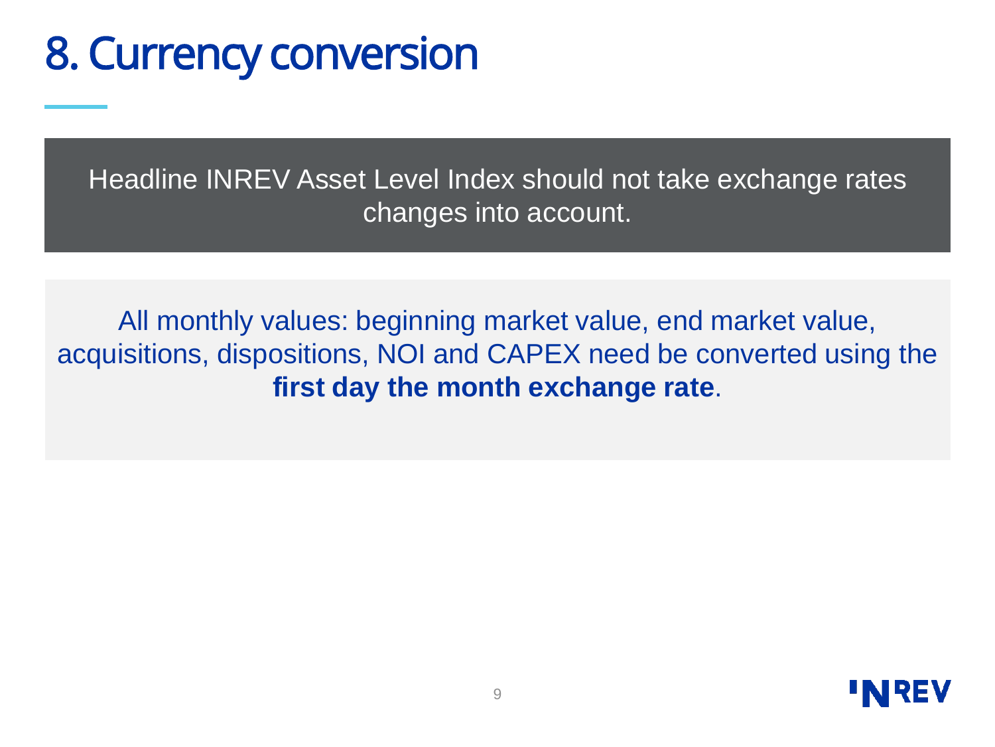### 8. Currency conversion

Headline INREV Asset Level Index should not take exchange rates changes into account.

All monthly values: beginning market value, end market value, acquisitions, dispositions, NOI and CAPEX need be converted using the **first day the month exchange rate**.

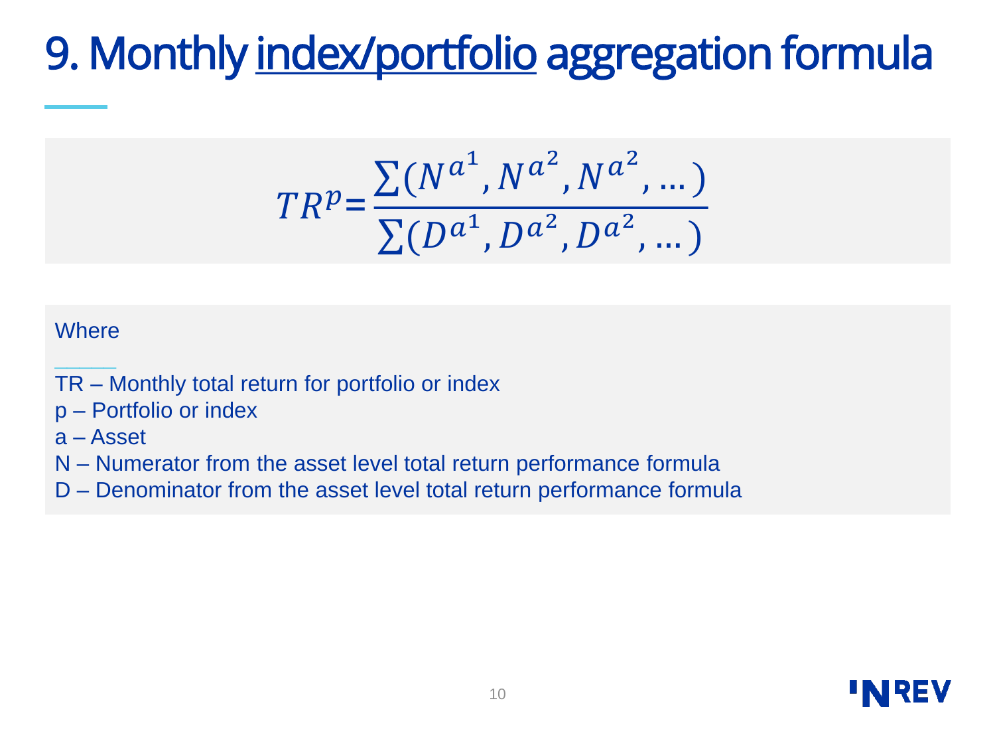# 9. Monthly index/portfolio aggregation formula

$$
TR^{p} = \frac{\sum (N^{a^{1}}, N^{a^{2}}, N^{a^{2}}, \dots)}{\sum (D^{a^{1}}, D^{a^{2}}, D^{a^{2}}, \dots)}
$$

#### **Where**

\_\_\_\_\_

- TR Monthly total return for portfolio or index
- p Portfolio or index
- a Asset
- N Numerator from the asset level total return performance formula
- D Denominator from the asset level total return performance formula

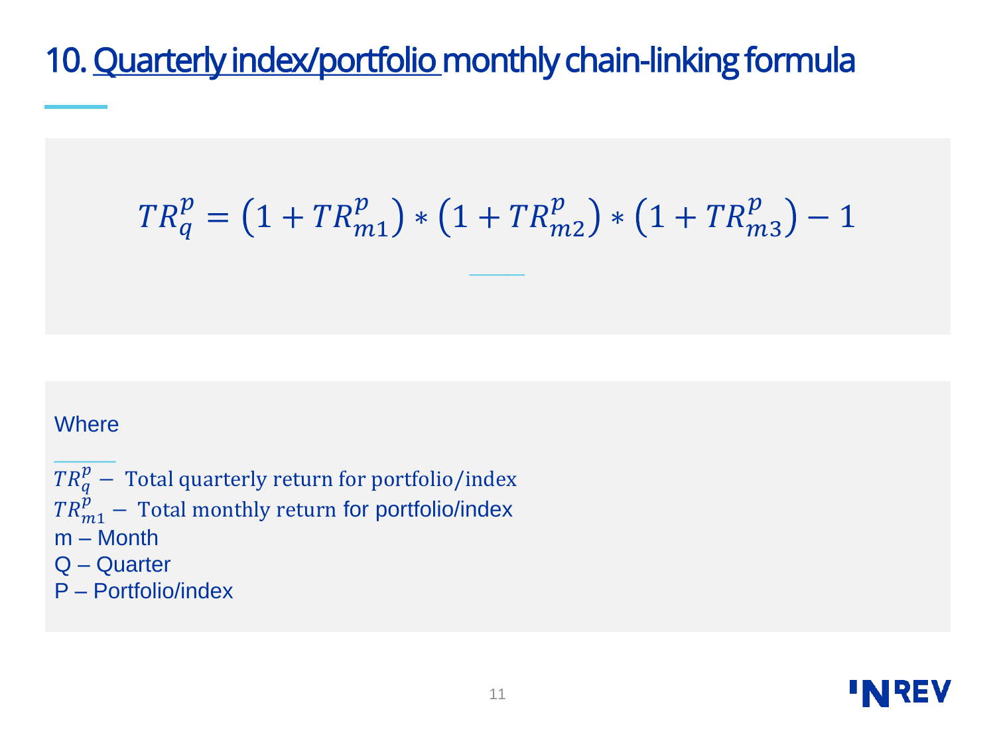### 10. Quarterly index/portfolio monthly chain-linking formula

$$
TR_q^p = \left(1 + TR_{m1}^p\right) * \left(1 + TR_{m2}^p\right) * \left(1 + TR_{m3}^p\right) - 1
$$

**\_\_\_**

#### **Where**

 $\overline{\phantom{a}}$  $\mathit{TR}^p_q$   $-$  Total quarterly return for portfolio/index  $\mathit{TR}_{m1}^{\tilde{p}}$  — Total monthly return for portfolio/index m – Month Q – Quarter P – Portfolio/index

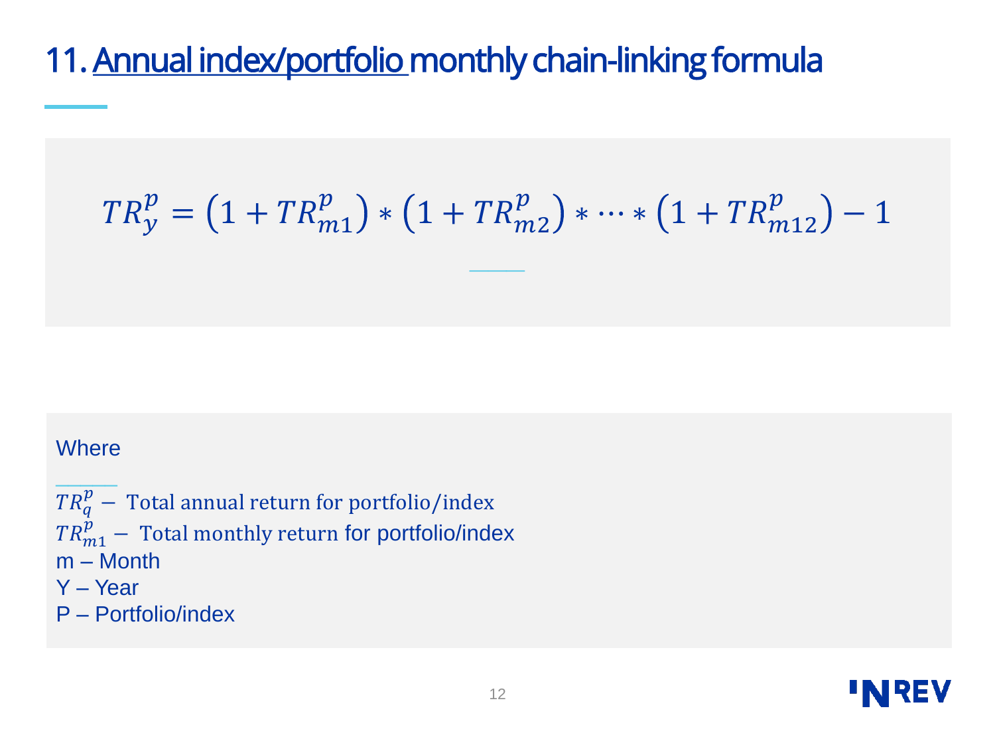### 11. Annual index/portfolio monthly chain-linking formula

$$
TR_{y}^{p} = (1 + TR_{m1}^{p}) * (1 + TR_{m2}^{p}) * \dots * (1 + TR_{m12}^{p}) - 1
$$

**\_\_\_**

#### **Where**

\_\_\_\_\_  $\mathit{TR}^p_q-$  Total annual return for portfolio/index  $\mathit{TR}^{\hat{p}}_{m1}-$  Total monthly return for portfolio/index m – Month Y – Year P – Portfolio/index

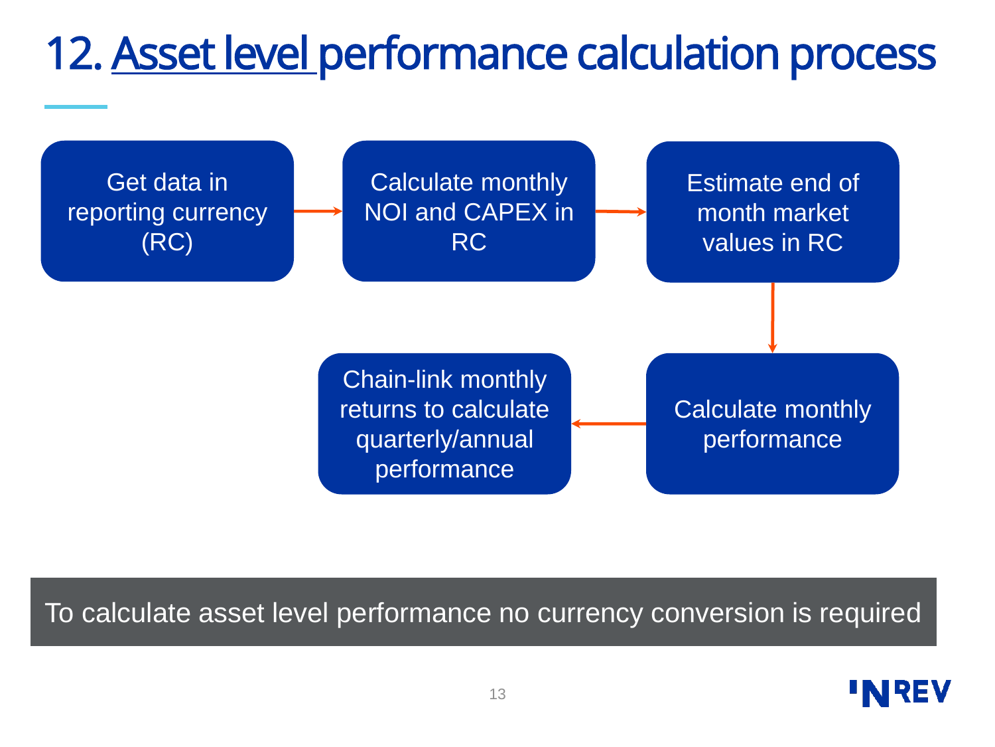## 12. Asset level performance calculation process



### To calculate asset level performance no currency conversion is required